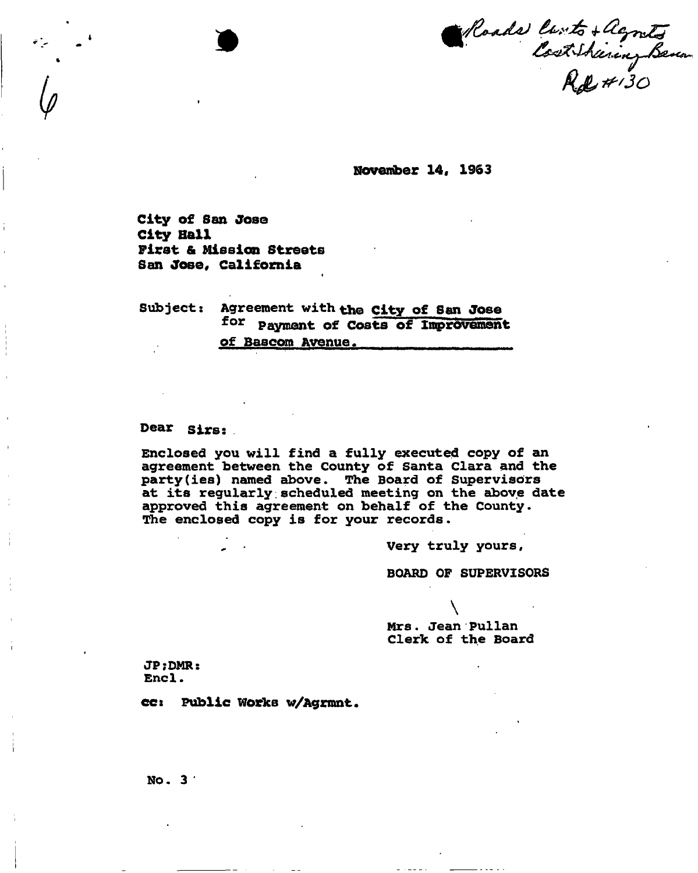*v/U^ULL) 3 o* 

**November 14, 1963** 

City of San Jose City Ball First & Mission Streets San Jose, California

Subject: Agreement with the City of San Jose for payment of Costs of Improvement of Bascom Avenue.

i

Dear sirs:

Enclosed you will find a fully executed copy of an agreement between the County of Santa Clara and the party(ies) named above. The Board of Supervisors at its regularly.scheduled meeting on the above date approved this agreement on behalf of the County. The enclosed copy is for your records.

Very truly yours,

BOARD OF SUPERVISORS

Mrs. Jean Pullan Clerk of the Board

 $\setminus$ 

JP;DMR: Encl.

ee: Public Works w/Agrmnt.

No. 3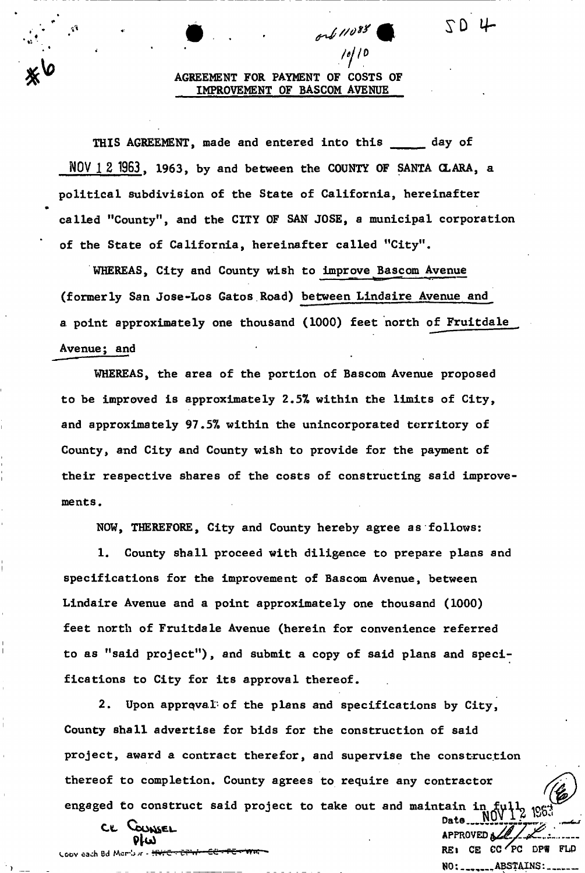# AGREEMENT FOR PAYMENT OF COSTS OF IMPROVEMENT OF BASCOM AVENUE

yy/0

ord 11088

 $SD4$ 

THIS AGREEMENT, made and entered into this day of **NOV** 1 **2 1963**. 1963, by and between the COUNTY OF SANTA CLARA, a political subdivision of the State of California, hereinafter called "County", and the CITY OF SAN JOSE, a municipal corporation of the State of California, hereinafter called "City".

WHEREAS, City and County wish to improve Bascom Avenue (formerly San Jose-Los Gatos Road) between Lindaire Avenue and a point approximately one thousand (1000) feet north of Fruitdale Avenue; and

WHEREAS, the area of the portion of Bascom Avenue proposed to be improved is approximately 2.57® within the limits of City, and approximately 97.5% within the unincorporated territory of County, and City and County wish to provide for the payment of their respective shares of the costs of constructing said improvements.

NOW, THEREFORE, City and County hereby agree as follows:

1. County shall proceed with diligence to prepare plans and specifications for the improvement of Bascom Avenue, between Lindaire Avenue and a point approximately one thousand (1000) feet north of Fruitdale Avenue (herein for convenience referred to as "said project"), and submit a copy of said plans and specifications to City for its approval thereof.

2. Upon approval'of the plans and specifications by City, County shall advertise for bids for the construction of said project, award a contract therefor, and supervise the construction thereof to completion. County agrees to require any contractor engaged to construct said project to take out and maintain in ୀଓର

Date<sub>----</sub>NU **APPROVED A** 

NO: \_\_\_\_\_\_\_\_ ABSTAINS:

CE COUNSEL

V. Copy each Bd Member - <del>investigation CC-FE--WRI</del> COMPOUNDED COMPOUNDED RESIGNED COMPOUNDED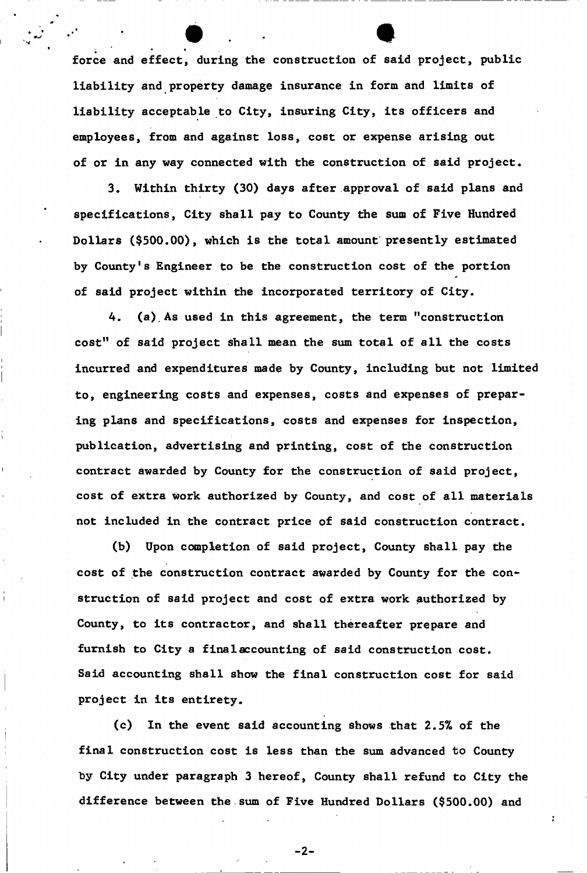force and effect, during the construction of said project, public liability and property damage insurance in form and limits of liability acceptable to City, insuring City, its officers and liability acceptable to City, insuring City, its officers and employees, from and against loss, cost or expense arising out of or in any way connected with the construction of said project.

3. Within thirty (30) days after approval of said plans and  $3, \, \mathcal{O}$  after a finite approximation (30) days after a planet approximation (30) days after a planet and specifications, City shall pay to County the sum of Five Hundred Dollars (\$500.00), which is the total amount presently estimated by County's Engineer to be the construction cost of the portion cost of the portion cost of the portion cost of the portion  $\mathcal{L}$ 

of said project within the incorporated territory of City.

 $\mathcal{A}$ . As used in this agreement, the term  $\mathcal{A}$ cost" of said project shall mean the sum total of all the costs incurred and expenditures made by County, including but not limited to, engineering costs and expenses, costs and expenses of preparing plans and specifications, costs and expenses for inspection, publication, advertising and printing, cost of the construction contract awarded by County for the construction of said project, cost of extra work authorized by County, and cost of all materials not included in the contract price of said construction contract.

(b) Upon completion of said project,  $U$  said project,  $U$  shall pay the shall pay the shall pay the shall pay the shall pay the shall pay the shall pay the shall pay the shall pay the shall pay the shall pay the shall pa cost of the construction contract awarded by County for the construction of said project and cost of extra work authorized by County, to its contractor, and shall thereafter prepare and furnish to City a final accounting of said construction cost. Said accounting shall show the final construction cost for said project in its entirety.

 $(c)$ (c) In the event said accounting shows that  $2.5$  of the event said accounting shows that  $2.5$ final construction cost is less than the sum advanced to County by City under paragraph 3 hereof, County shall refund to City the difference between the sum of Five Hundred Dollars (\$500.000) and Five Hundred Dollars (\$500.000) and Five Hundred Dollars (\$500.000) and Five Hundred Dollars (\$500.000) and Five Hundred Dollars (\$500.000) and Five Hundred

 $-2-$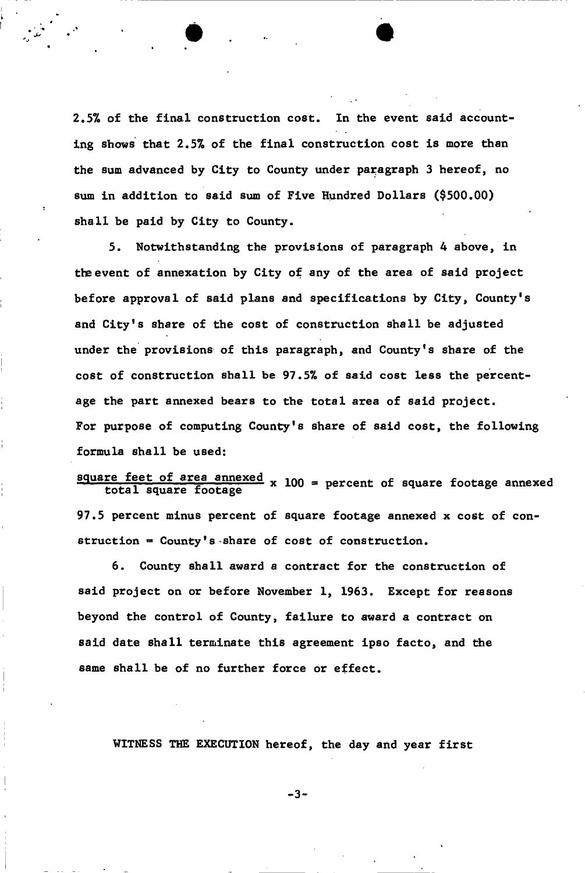2.5% of the final construction cost. In the event said accounting shows that 2.5% of the final construction cost is more than the sum advanced by City to County under paragraph 3 hereof, no sum in addition to said sum of Five Hundred Dollars (\$500.00) shall be paid by City to County.

5. Notwithstanding the provisions of paragraph 4 above, in the event of annexation by City of any of the area of said project before approval of said plans and specifications by City, County's and City's share of the cost of construction shall be adjusted under the provisions of this paragraph, and County's share of the cost of construction shall be 97.5% of said cost less the percentage the part annexed bears to the total area of said project. For purpose of computing County's share of said cost, the following formula shall be used:

## square feet of area annexed te feet of afea annexed x 100 = percent of square footage annexed total square footage

97.5 percent minus percent of square footage annexed x cost of construction =  $Country's$  share of cost of construction.

6. County shall award a contract for the construction of said project on or before November 1, 1963. £xcept for reasons beyond the control of County, failure to award a contract on said date shall terminate this agreement ipso facto, and the same shall be of no further force or effect.

WITNESS THE EXECUTION hereof, the day and year first

 $-3-$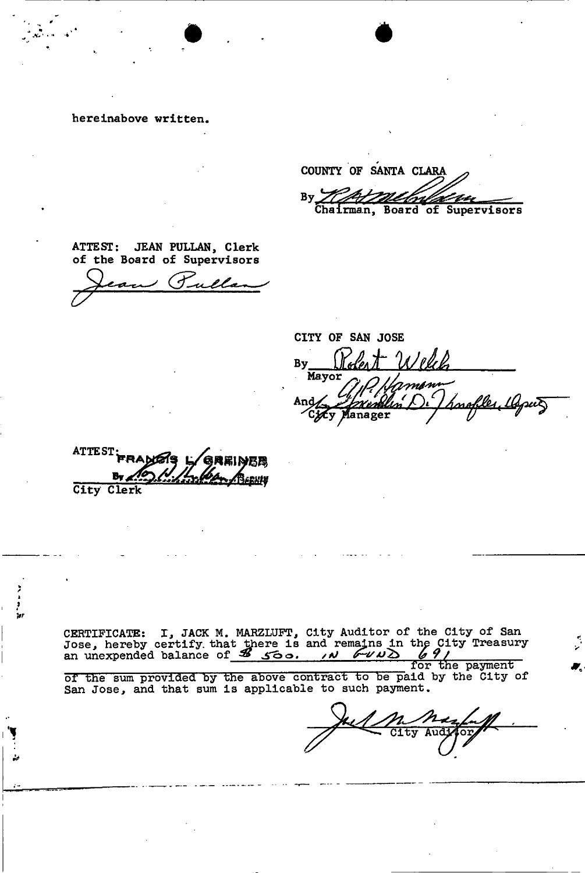hereinabove written.

 $A_{\alpha}$  ,  $\alpha$  ,  $\alpha$ 

COUNTY OF SANTA CLARA By Ilfutthelonial ber Chairman, Board of Supervisors

ATTEST: JEAN PULLAN, Clerk of the Board of Supervisors

CITY OF SAN JOSE By <u>Noter TV elect</u> Mayor møm su $\overline{\mathcal{S}}$ Anç <u>lın'</u> rnob fanager

ATTEST 6 REINER

City Clerk

/ *k 9 >r* 

> CERTIFICATE: I, JACK M. MARZLUFT, City Auditor of the City of San Jose, hereby certify that there is and remains in the City Treasury an unexpended balance of  $\frac{36}{100}$  for  $\frac{36}{100}$

> ior une payment<br>id by the City o of the sum provided by the above contract to be paid by the City of San Jose, and that sum is applicable to such payment.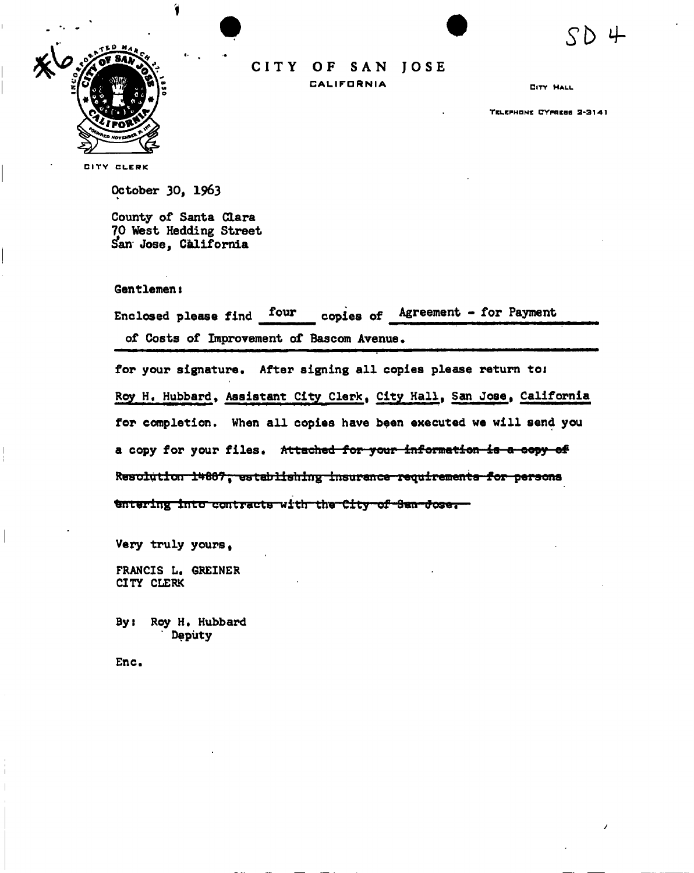

**CIT Y OF SA N JOS E CALIFORNIA** 

CITY HALL

**S b 4-**

TELEPHONE CYPRESS 2-314 1

CITY CLERK

October 30, 1963

County of Santa Clara 70 West Hedding Street **San** Jose, California

Gentlemen i

| Enclosed please find four                 |  | copies of Agreement - for Payment |  |
|-------------------------------------------|--|-----------------------------------|--|
| of Costs of Improvement of Bascom Avenue. |  |                                   |  |

for your signature. After signing all copies please return toi Roy H. Hubbard, Assistant City Clerk, City Hall, San Jose, California for completion. When all copies have been executed we will send you a copy for your files. Attached for your information is a copy of Resolution 14667, establishing insurance requirements for persons tintering into contracts with the City of San Jose.

Very truly yours,

FRANCIS L. GREINER CITY CLERK

Byt Roy H. Hubbard Deputy

Enc.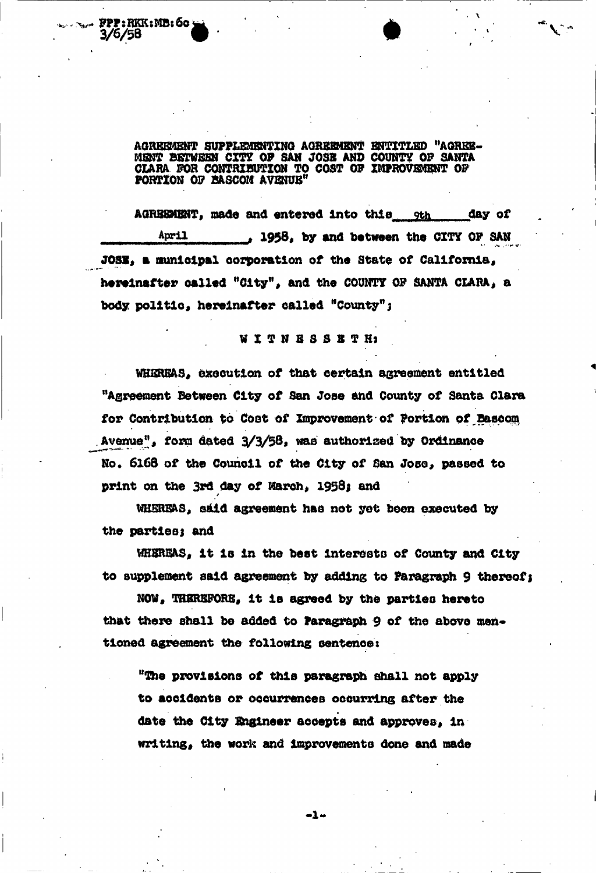pp : RKK : MB : 60 }  $3/5/58$  **by a new particular contract of the contract of the contract of the contract of the contract of the contract of the contract of the contract of the contract of the contract of the contract of the contract of the** 

> **AGREEMENT SUPPLEMENTING AGREEMENT ENTITLED "AGREE-MENT BETWEEN C M OF SAN JOSE AND COUNTY OF SANTA CLARA FOR CONTRIBUTION TO COST OF IMPROVEMENT OF PORTION OF BASCOI\* AVENUE<sup>11</sup>**

AGREEMENT, made and entered into this sthe any of **April 1958, by and batmen the CITY OF SAN JOSE, a municipal corporation of the State of California,** hereinafter called "City", and the COUNTY OF SANTA CLARA, a **body politic, hereinafter called "County";** 

### **WITNESSETH \***

**WHEREAS, execution of that certain agreement entitled "Agreement Between City of San Jose and County of Santa Clara for Contribution to Cost of Improvement of Portion of Baeeom**  Avenue", form dated  $3/3/58$ , was authorized by Ordinance No. 6168 of the Council of the City of San Jose, passed to print on the 3rd day of March, 1958; and

**WHEREAS, skid agreement has not yet been executed by**  the parties; and

/

**WHEREAS, it Is in the best Interests of County and City**  to supplement said agreement by adding to Paragraph 9 thereof;

**NOW, THEREFORE, it is agreed by the parties hereto**  that there shall be added to **Paragraph** 9 of the above men**tloned agreement the following sentences** 

**"The provisions of this paragraph shall not apply to accidents or occurrences occurring after the date the City Engineer accepts and approves. In writing, the work and improvements done and made** 

 $-1-$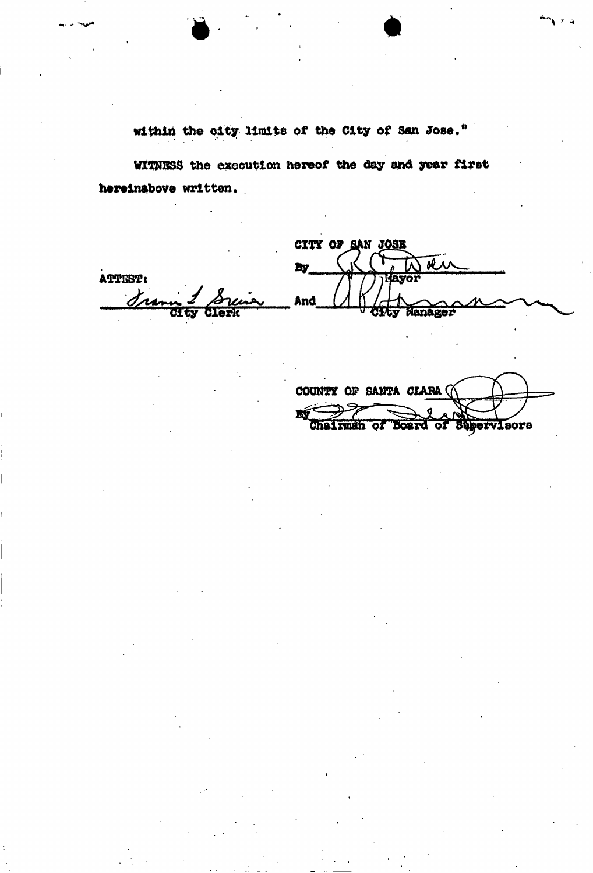within the city limits of the City of San Jose."

WITNESS the execution hereof the day and year first hereinabove written.

CITY OF SAN JOSE sl. ÏУ ATTEST: AVOI Jrs And Manager

COUNTY OF SANTA CLARA ( K man of Board of Supervisors **Chai**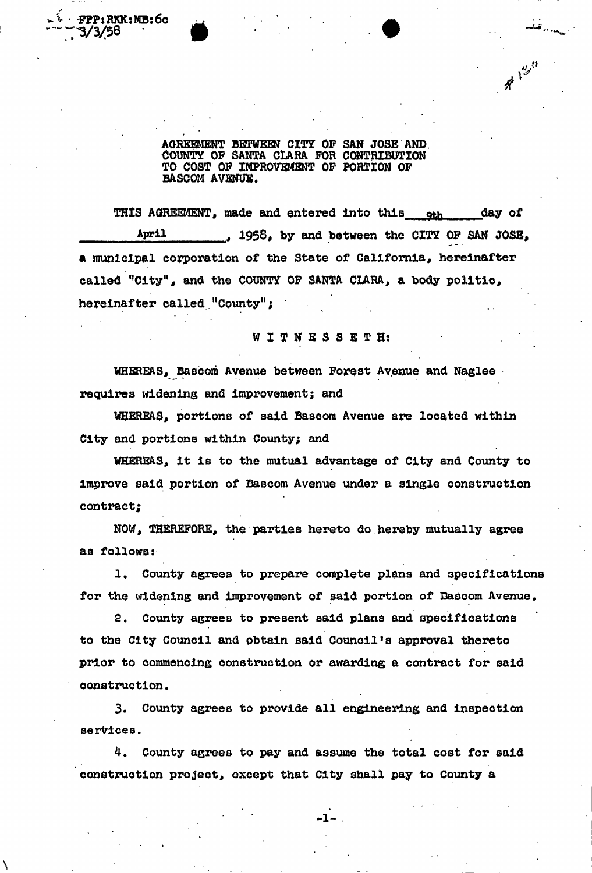FPP:RKK:MB**:6c 3/3/58** 

> AGREEMENT BETWEEN CITY OF SAN JOSE AND COUNTY OF SANTA CLARA FOR CONTRIBUTION TO COST OF IMPROVEMENT OF PORTION OF BASCOM AVENUE.

 $\text{H} \bigg\vert \text{H} \bigg\vert^2$ 

THIS AGREEMENT, made and entered into this other day of April , 1958, by and between the CITY OF SAN JOSE, a municipal corporation of the State of California, hereinafter called "City", and the COUNTY OF SANTA CLARA, a body politic, hereinafter called "County";

WITNESSETH:

WHEREAS, Bascom Avenue between Forest Avenue and Naglee requires widening and improvement; and

WHEREAS, portions of said Bascom Avenue are located within City and portions within County; and

WHEREAS, It Is to the mutual advantage of City and County to improve said portion of Bascom Avenue under a single construction contract;

NOW, THEREFORE, the parties hereto do hereby mutually agree as follows:

1. County agrees to prepare complete plans and specifications for the widening and improvement of said portion of Bascom Avenue.

2. County agrees to present said plans and specifications to the City Council and obtain said Council's approval thereto prior to commencing construction or awarding a contract for said construction.

3. County agrees to provide all engineering and inspection services.

**4. County agrees to pay and assume the total cost for said construction project, except that City shall pay to County a**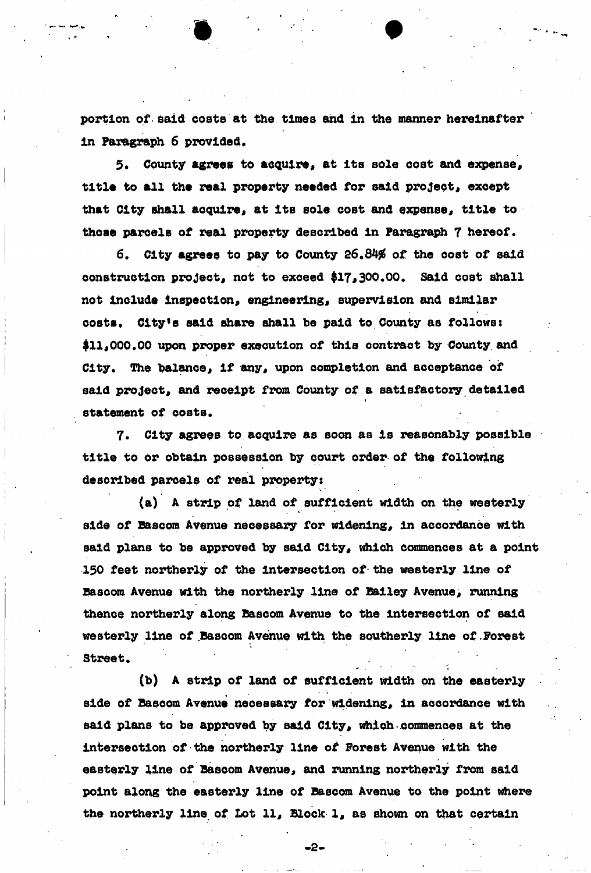**portion of said costs at the times and in the manner hereinafter in Paragraph 6 provided.** 

5. County agrees to acquire, at its sole cost and expense, title to all the real property needed for said project, except that City shall acquire, at its sole cost and expense, title to **those parcels of real property described in Paragraph 7 hereof.** 

**6. City agrees to pay to County 26.84# of the cost of said**  construction project, not to exceed \$17,300.00. Said cost shall not include inspection, engineering, supervision and similar **costs. City's said share shall be paid to County as follows:**  \$11,000.00 upon proper execution of this contract by County and City. The balance, if any, upon completion and acceptance of said project, and receipt from County of a satisfactory detailed **statement of costs.** 

**7. City agrees to acquire as soon as Is reasonably possible title to or obtain possession by court order of the following described parcels of real property:** 

**(a) A strip of land of sufficient width on the westerly**  side of Bascom Avenue necessary for widening, in accordance with said plans to be approved by said City, which commences at a point **150 feet northerly of the Intersection of the westerly line of**  Bascom Avenue with the northerly line of Bailey Avenue, running **thence northerly along Bascom Avenue to the Intersection of said westerly line of Bascom Avenue with the southerly line of Forest Street.** 

**(b) A strip of land of sufficient width on the easterly**  side of Bascom Avenue necessary for widening, in accordance with said plans to be approved by said City, which commences at the **intersection of the northerly line of Forest Avenue with the**  easterly line of Bascom Avenue, and running northerly from said **point along the easterly line of Bascom Avenue to the point where the northerly line of Lot 11\* Block 1\* as shown on that certain** 

• 2 -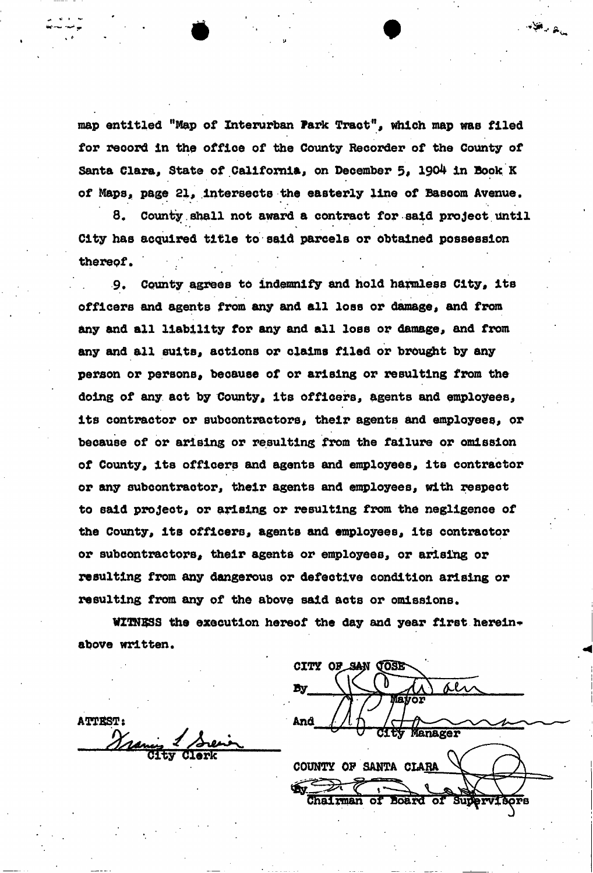**map entitled "Map of Interurban Park Tract", which map was filed**  Santa Clara, State of California, on December 5, 1904 in Book K **of Maps, page 21, Intersects the easterly line of Basoom Avenue. for record In the office of the County Recorder of the County of** 

**8. County.shall not award a contract for said project until City has acquired title to said parcels or obtained possession therepf. /** 

**9. County agrees to indemnify and hold harmless City, Its officers and agents from any and all loss or damage, and from any and all liability for any and all loss or damage, and from any and all suits, actions or claims filed or brought by any person or persons, because of or arising or resulting from the doing of any act by County, Its officers, agents and employees,**  its contractor or subcontractors, their agents and employees, or **because of or arising or resulting from the failure or omission of County, Its officers and agents and employees, Its contractor or any subcontractor, their agents and employees, with respect to said project, or arising or resulting from the negligence of the County, Its officers, agents and employees, Its contractor or subcontractors, their agents or employees, or arising or resulting from any dangerous or defective condition arising or**  resulting from any of the above said acts or omissions.

WITNESS the execution hereof the day and year first herein**above written.** 

**CITY GOSE By** VAVOI Manager **COUNTY OF SANTA CLARA Chairman of Ao&ra or** 

 $\mathcal{A}^{\text{int}}_{\text{int}}$  ,  $\mathcal{A}_{\text{int}}$ 

**ATTEST:** And